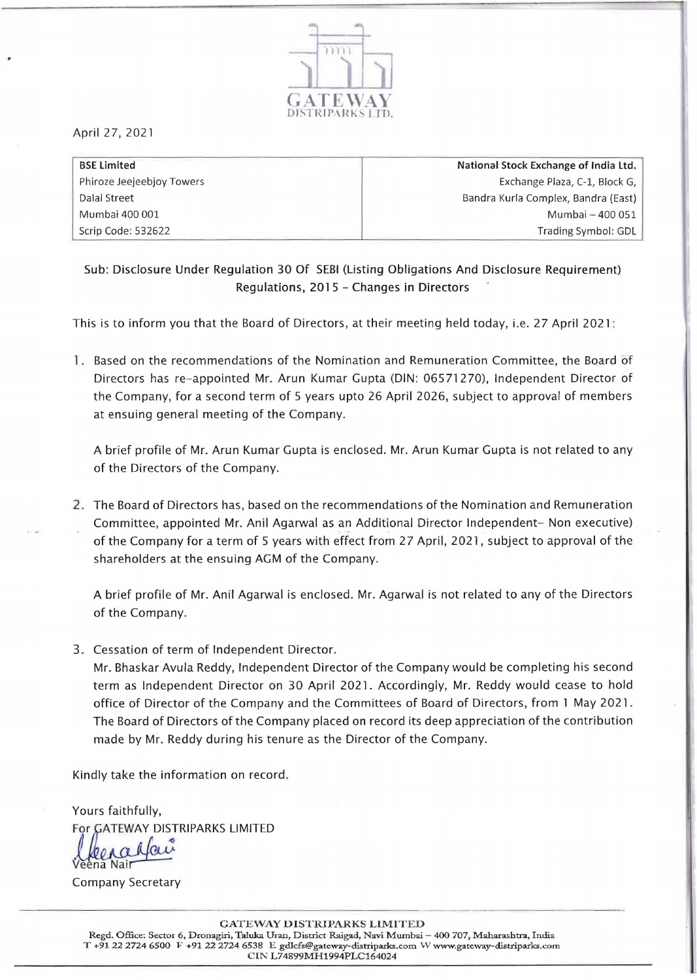

April 27, 2021

| <b>BSE Limited</b>        | National Stock Exchange of India Ltd. |
|---------------------------|---------------------------------------|
| Phiroze Jeejeebjoy Towers | Exchange Plaza, C-1, Block G,         |
| Dalal Street              | Bandra Kurla Complex, Bandra (East)   |
| Mumbai 400 001            | Mumbai - 400 051                      |
| Scrip Code: 532622        | Trading Symbol: GDL                   |

Sub: Disclosure Under Regulation 30 Of SEBI (Listing Obligations And Disclosure Requirement) Regulations, 2015 - Changes in Directors

This is to inform you that the Board of Directors, at their meeting held today, i.e. 27 April 2021 :

1. Based on the recommendations of the Nomination and Remuneration Committee, the Board of Directors has re-appointed Mr. Arun Kumar Gupta (DIN: 06571270), Independent Director of the Company, for a second term of 5 years upto 26 April 2026, subject to approval of members at ensuing general meeting of the Company.

A brief profile of Mr. Arun Kumar Gupta is enclosed. Mr. Arun Kumar Gupta is not related to any of the Directors of the Company.

2. The Board of Directors has, based on the recommendations of the Nomination and Remuneration Committee, appointed Mr. Anil Agarwal as an Additional Director Independent- Non executive) of the Company for a term of 5 years with effect from 27 April, 2021, subject to approval of the shareholders at the ensuing AGM of the Company.

A brief profile of Mr. Anil Agarwal is enclosed. Mr. Agarwal is not related to any of the Directors of the Company.

3. Cessation of term of Independent Director.

Mr. Bhaskar Avula Reddy, Independent Director of the Company would be completing his second term as Independent Director on 30 April 2021. Accordingly, Mr. Reddy would cease to hold office of Director of the Company and the Committees of Board of Directors, from 1 May 2021. The Board of Directors of the Company placed on record its deep appreciation of the contribution made by Mr. Reddy during his tenure as the Director of the Company.

Kindly take the information on record.

Yours faithfully, For GATEWAY DISTRIPARKS LIMITED 1 lo

Nail

Company Secretary